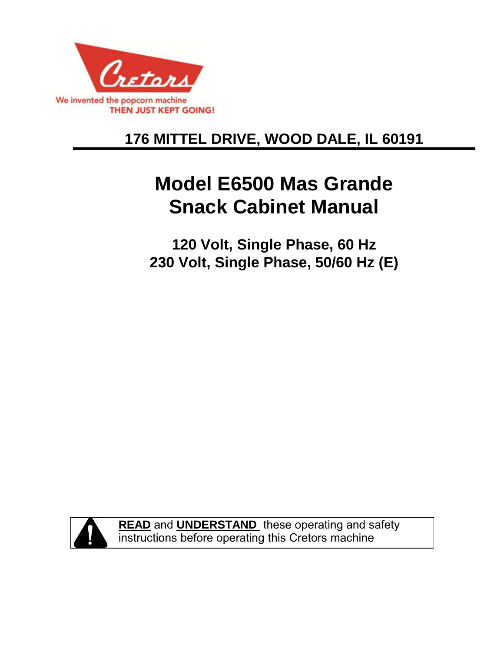

## **176 MITTEL DRIVE, WOOD DALE, IL 60191**

# **Model E6500 Mas Grande Snack Cabinet Manual**

**120 Volt, Single Phase, 60 Hz 230 Volt, Single Phase, 50/60 Hz (E)** 



**READ** and **UNDERSTAND** these operating and safety instructions before operating this Cretors machine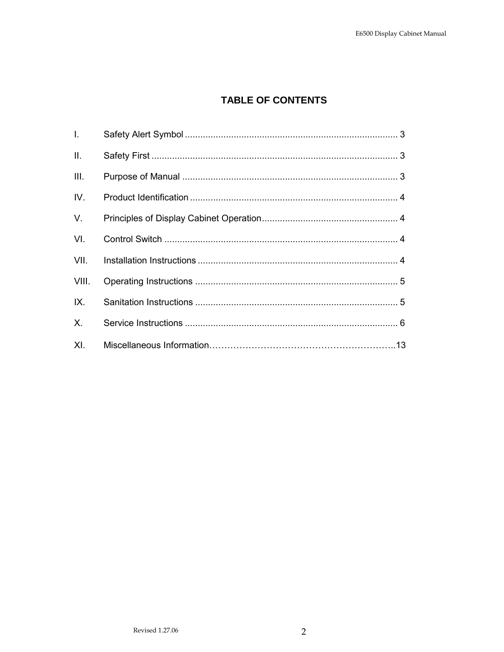## **TABLE OF CONTENTS**

| $\mathbf{L}$ |  |
|--------------|--|
| ΙΙ.          |  |
| III.         |  |
| IV.          |  |
| V.           |  |
| VI.          |  |
| VII.         |  |
| VIII.        |  |
| IX.          |  |
| $X_{-}$      |  |
| XL           |  |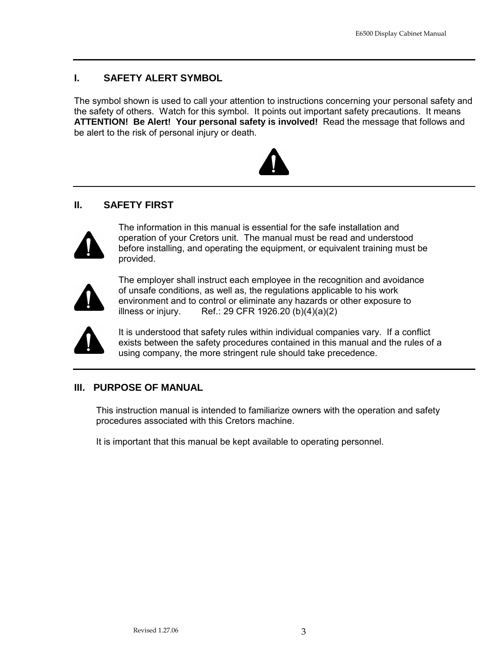## **I. SAFETY ALERT SYMBOL**

The symbol shown is used to call your attention to instructions concerning your personal safety and the safety of others. Watch for this symbol. It points out important safety precautions. It means **ATTENTION! Be Alert! Your personal safety is involved!** Read the message that follows and be alert to the risk of personal injury or death.



#### **II. SAFETY FIRST**



The information in this manual is essential for the safe installation and operation of your Cretors unit. The manual must be read and understood before installing, and operating the equipment, or equivalent training must be provided.



The employer shall instruct each employee in the recognition and avoidance of unsafe conditions, as well as, the regulations applicable to his work environment and to control or eliminate any hazards or other exposure to illness or injury. Ref.: 29 CFR 1926.20  $(b)(4)(a)(2)$ 



It is understood that safety rules within individual companies vary. If a conflict exists between the safety procedures contained in this manual and the rules of a using company, the more stringent rule should take precedence.

### **III. PURPOSE OF MANUAL**

This instruction manual is intended to familiarize owners with the operation and safety procedures associated with this Cretors machine.

It is important that this manual be kept available to operating personnel.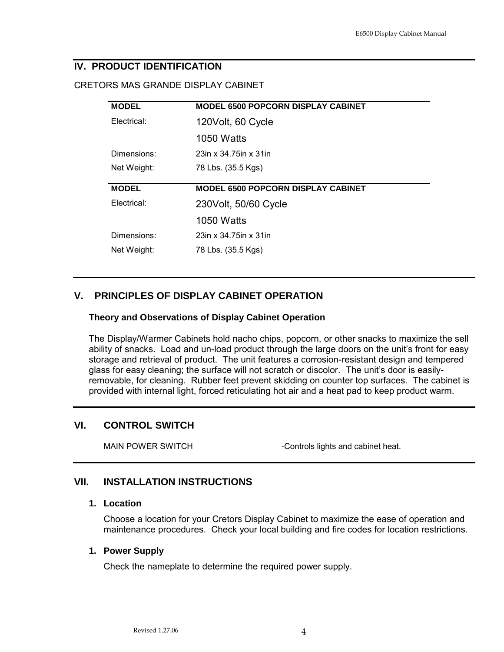### **IV. PRODUCT IDENTIFICATION**

#### CRETORS MAS GRANDE DISPLAY CABINET

| <b>MODEL</b> | <b>MODEL 6500 POPCORN DISPLAY CABINET</b> |  |  |  |  |  |  |  |  |  |
|--------------|-------------------------------------------|--|--|--|--|--|--|--|--|--|
| Electrical:  | 120Volt, 60 Cycle                         |  |  |  |  |  |  |  |  |  |
|              | 1050 Watts                                |  |  |  |  |  |  |  |  |  |
| Dimensions:  | 23in x 34.75in x 31in                     |  |  |  |  |  |  |  |  |  |
| Net Weight:  | 78 Lbs. (35.5 Kgs)                        |  |  |  |  |  |  |  |  |  |
|              |                                           |  |  |  |  |  |  |  |  |  |
|              |                                           |  |  |  |  |  |  |  |  |  |
| <b>MODEL</b> | <b>MODEL 6500 POPCORN DISPLAY CABINET</b> |  |  |  |  |  |  |  |  |  |
| Electrical:  | 230 Volt, 50/60 Cycle                     |  |  |  |  |  |  |  |  |  |
|              | <b>1050 Watts</b>                         |  |  |  |  |  |  |  |  |  |
| Dimensions:  | 23in x 34.75in x 31in                     |  |  |  |  |  |  |  |  |  |
| Net Weight:  | 78 Lbs. (35.5 Kgs)                        |  |  |  |  |  |  |  |  |  |

## **V. PRINCIPLES OF DISPLAY CABINET OPERATION**

#### **Theory and Observations of Display Cabinet Operation**

The Display/Warmer Cabinets hold nacho chips, popcorn, or other snacks to maximize the sell ability of snacks. Load and un-load product through the large doors on the unit's front for easy storage and retrieval of product. The unit features a corrosion-resistant design and tempered glass for easy cleaning; the surface will not scratch or discolor. The unit's door is easilyremovable, for cleaning. Rubber feet prevent skidding on counter top surfaces. The cabinet is provided with internal light, forced reticulating hot air and a heat pad to keep product warm.

### **VI. CONTROL SWITCH**

MAIN POWER SWITCH  $\blacksquare$  -Controls lights and cabinet heat.

### **VII. INSTALLATION INSTRUCTIONS**

#### **1. Location**

Choose a location for your Cretors Display Cabinet to maximize the ease of operation and maintenance procedures. Check your local building and fire codes for location restrictions.

#### **1. Power Supply**

Check the nameplate to determine the required power supply.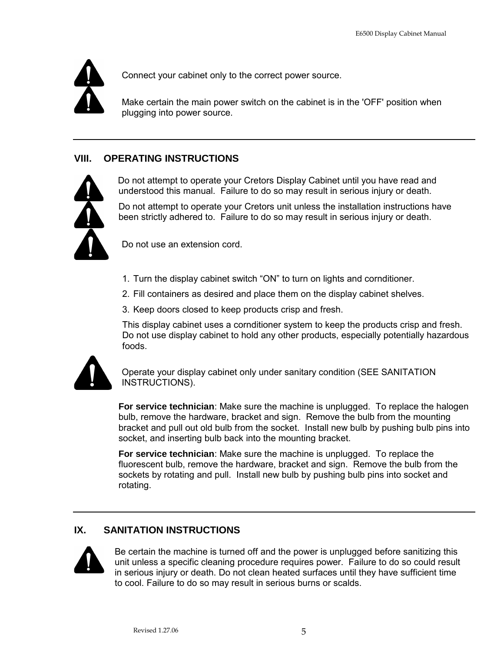

Connect your cabinet only to the correct power source.

Make certain the main power switch on the cabinet is in the 'OFF' position when plugging into power source.

## **VIII. OPERATING INSTRUCTIONS**



Do not attempt to operate your Cretors Display Cabinet until you have read and understood this manual. Failure to do so may result in serious injury or death.

Do not attempt to operate your Cretors unit unless the installation instructions have been strictly adhered to. Failure to do so may result in serious injury or death.

Do not use an extension cord.

- 1. Turn the display cabinet switch "ON" to turn on lights and cornditioner.
- 2. Fill containers as desired and place them on the display cabinet shelves.
- 3. Keep doors closed to keep products crisp and fresh.

This display cabinet uses a cornditioner system to keep the products crisp and fresh. Do not use display cabinet to hold any other products, especially potentially hazardous foods.



Operate your display cabinet only under sanitary condition (SEE SANITATION INSTRUCTIONS).

**For service technician**: Make sure the machine is unplugged. To replace the halogen bulb, remove the hardware, bracket and sign. Remove the bulb from the mounting bracket and pull out old bulb from the socket. Install new bulb by pushing bulb pins into socket, and inserting bulb back into the mounting bracket.

**For service technician**: Make sure the machine is unplugged. To replace the fluorescent bulb, remove the hardware, bracket and sign. Remove the bulb from the sockets by rotating and pull. Install new bulb by pushing bulb pins into socket and rotating.

## **IX. SANITATION INSTRUCTIONS**



Be certain the machine is turned off and the power is unplugged before sanitizing this unit unless a specific cleaning procedure requires power. Failure to do so could result in serious injury or death. Do not clean heated surfaces until they have sufficient time to cool. Failure to do so may result in serious burns or scalds.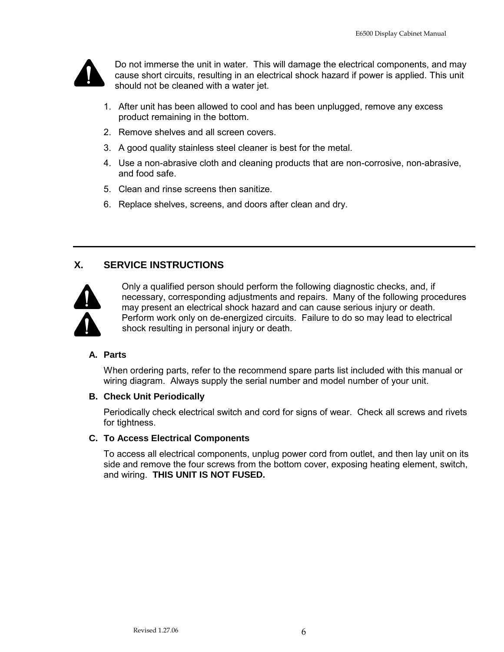

Do not immerse the unit in water. This will damage the electrical components, and may cause short circuits, resulting in an electrical shock hazard if power is applied. This unit should not be cleaned with a water jet.

- 1. After unit has been allowed to cool and has been unplugged, remove any excess product remaining in the bottom.
- 2. Remove shelves and all screen covers.
- 3. A good quality stainless steel cleaner is best for the metal.
- 4. Use a non-abrasive cloth and cleaning products that are non-corrosive, non-abrasive, and food safe.
- 5. Clean and rinse screens then sanitize.
- 6. Replace shelves, screens, and doors after clean and dry.

## **X. SERVICE INSTRUCTIONS**



Only a qualified person should perform the following diagnostic checks, and, if necessary, corresponding adjustments and repairs. Many of the following procedures may present an electrical shock hazard and can cause serious injury or death. Perform work only on de-energized circuits. Failure to do so may lead to electrical shock resulting in personal injury or death.

#### **A. Parts**

When ordering parts, refer to the recommend spare parts list included with this manual or wiring diagram. Always supply the serial number and model number of your unit.

#### **B. Check Unit Periodically**

Periodically check electrical switch and cord for signs of wear. Check all screws and rivets for tightness.

#### **C. To Access Electrical Components**

To access all electrical components, unplug power cord from outlet, and then lay unit on its side and remove the four screws from the bottom cover, exposing heating element, switch, and wiring. **THIS UNIT IS NOT FUSED.**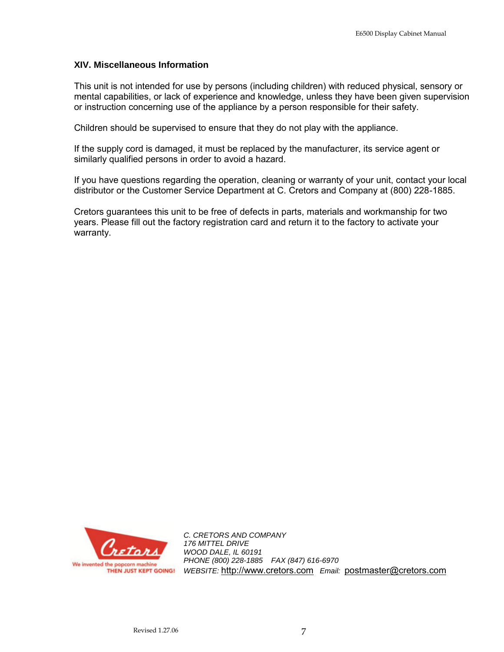#### **XIV. Miscellaneous Information**

This unit is not intended for use by persons (including children) with reduced physical, sensory or mental capabilities, or lack of experience and knowledge, unless they have been given supervision or instruction concerning use of the appliance by a person responsible for their safety.

Children should be supervised to ensure that they do not play with the appliance.

If the supply cord is damaged, it must be replaced by the manufacturer, its service agent or similarly qualified persons in order to avoid a hazard.

If you have questions regarding the operation, cleaning or warranty of your unit, contact your local distributor or the Customer Service Department at C. Cretors and Company at (800) 228-1885.

Cretors guarantees this unit to be free of defects in parts, materials and workmanship for two years. Please fill out the factory registration card and return it to the factory to activate your warranty.



*C. CRETORS AND COMPANY 176 MITTEL DRIVE WOOD DALE, IL 60191 PHONE (800) 228-1885 FAX (847) 616-6970 WEBSITE:* http://www.cretors.com *Email:* postmaster@cretors.com